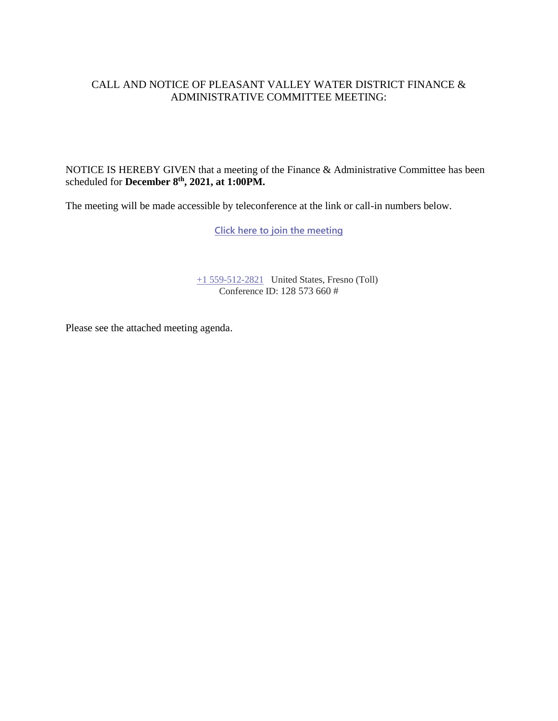#### CALL AND NOTICE OF PLEASANT VALLEY WATER DISTRICT FINANCE & ADMINISTRATIVE COMMITTEE MEETING:

NOTICE IS HEREBY GIVEN that a meeting of the Finance & Administrative Committee has been scheduled for **December 8 th , 2021, at 1:00PM.**

The meeting will be made accessible by teleconference at the link or call-in numbers below.

**[Click here to join the meeting](https://teams.microsoft.com/l/meetup-join/19%3ameeting_MTNhYTdkNzItN2I1ZS00OTRjLWJmMjYtMDUzNDc3OWQxYmJm%40thread.v2/0?context=%7b%22Tid%22%3a%22a6cf659f-2360-4ff9-9e8d-045f48434ada%22%2c%22Oid%22%3a%22d7c07c21-aea1-4965-a48d-46a35d2818b4%22%7d)**

[+1 559-512-2821](tel:+15595122821,,85232084# ) United States, Fresno (Toll) Conference ID: 128 573 660 #

Please see the attached meeting agenda.